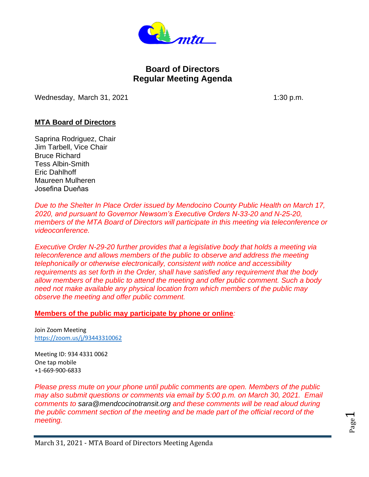

# **Board of Directors Regular Meeting Agenda**

Wednesday, March 31, 2021 1:30 p.m.

# **MTA Board of Directors**

Saprina Rodriguez, Chair Jim Tarbell, Vice Chair Bruce Richard Tess Albin-Smith Eric Dahlhoff Maureen Mulheren Josefina Dueňas

*Due to the Shelter In Place Order issued by Mendocino County Public Health on March 17, 2020, and pursuant to Governor Newsom's Executive Orders N-33-20 and N-25-20, members of the MTA Board of Directors will participate in this meeting via teleconference or videoconference.*

*Executive Order N-29-20 further provides that a legislative body that holds a meeting via teleconference and allows members of the public to observe and address the meeting telephonically or otherwise electronically, consistent with notice and accessibility requirements as set forth in the Order, shall have satisfied any requirement that the body allow members of the public to attend the meeting and offer public comment. Such a body need not make available any physical location from which members of the public may observe the meeting and offer public comment.*

#### **Members of the public may participate by phone or online***:*

Join Zoom Meeting <https://zoom.us/j/93443310062>

Meeting ID: 934 4331 0062 One tap mobile +1-669-900-6833

*Please press mute on your phone until public comments are open. Members of the public may also submit questions or comments via email by 5:00 p.m. on March 30, 2021. Email comments to sara@mendcocinotransit.org and these comments will be read aloud during the public comment section of the meeting and be made part of the official record of the meeting.*

Page  $\overline{\phantom{0}}$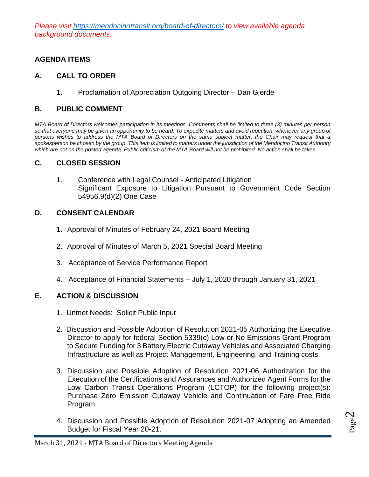*Please visit <https://mendocinotransit.org/board-of-directors/> to view available agenda background documents.*

# **AGENDA ITEMS**

# **A. CALL TO ORDER**

1. Proclamation of Appreciation Outgoing Director – Dan Gjerde

## **B. PUBLIC COMMENT**

*MTA Board of Directors welcomes participation in its meetings. Comments shall be limited to three (3) minutes per person so that everyone may be given an opportunity to be heard. To expedite matters and avoid repetition, whenever any group of persons wishes to address the MTA Board of Directors on the same subject matter, the Chair may request that a spokesperson be chosen by the group. This item is limited to matters under the jurisdiction of the Mendocino Transit Authority which are not on the posted agenda. Public criticism of the MTA Board will not be prohibited. No action shall be taken.*

#### **C. CLOSED SESSION**

1. Conference with Legal Counsel - Anticipated Litigation Significant Exposure to Litigation Pursuant to Government Code Section 54956.9(d)(2) One Case

#### **D. CONSENT CALENDAR**

- 1. Approval of Minutes of February 24, 2021 Board Meeting
- 2. Approval of Minutes of March 5, 2021 Special Board Meeting
- 3. Acceptance of Service Performance Report
- 4. Acceptance of Financial Statements July 1, 2020 through January 31, 2021

## **E. ACTION & DISCUSSION**

- 1. Unmet Needs: Solicit Public Input
- 2. Discussion and Possible Adoption of Resolution 2021-05 Authorizing the Executive Director to apply for federal Section 5339(c) Low or No Emissions Grant Program to Secure Funding for 3 Battery Electric Cutaway Vehicles and Associated Charging Infrastructure as well as Project Management, Engineering, and Training costs.
- 3. Discussion and Possible Adoption of Resolution 2021-06 Authorization for the Execution of the Certifications and Assurances and Authorized Agent Forms for the Low Carbon Transit Operations Program (LCTOP) for the following project(s): Purchase Zero Emission Cutaway Vehicle and Continuation of Fare Free Ride Program.
- 4. Discussion and Possible Adoption of Resolution 2021-07 Adopting an Amended Budget for Fiscal Year 20-21.